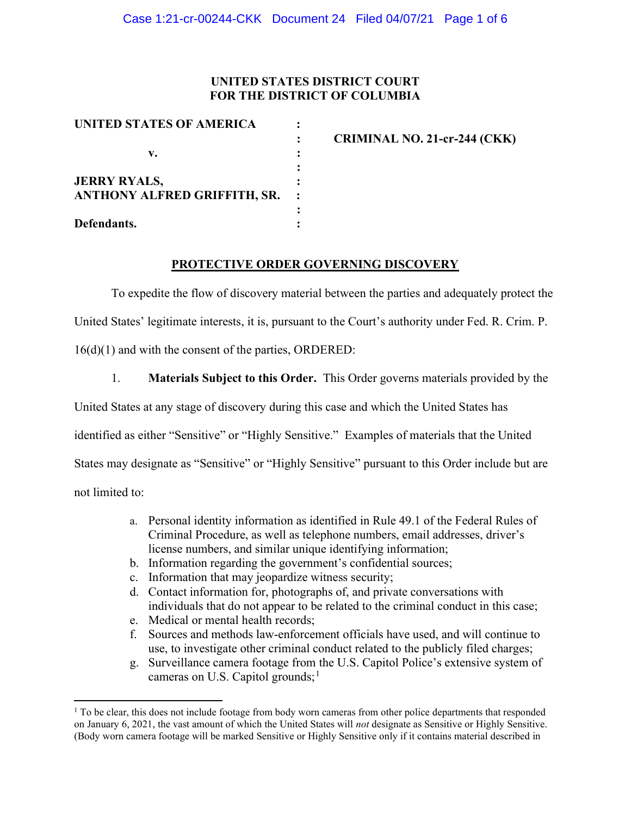## UNITED STATES DISTRICT COURT FOR THE DISTRICT OF COLUMBIA

| UNITED STATES OF AMERICA            |                                     |
|-------------------------------------|-------------------------------------|
|                                     | <b>CRIMINAL NO. 21-cr-244 (CKK)</b> |
| v.                                  |                                     |
|                                     |                                     |
| <b>JERRY RYALS,</b>                 |                                     |
| <b>ANTHONY ALFRED GRIFFITH, SR.</b> |                                     |
|                                     |                                     |
| Defendants.                         |                                     |

### PROTECTIVE ORDER GOVERNING DISCOVERY

To expedite the flow of discovery material between the parties and adequately protect the United States' legitimate interests, it is, pursuant to the Court's authority under Fed. R. Crim. P. 16(d)(1) and with the consent of the parties, ORDERED:

1. Materials Subject to this Order. This Order governs materials provided by the United States at any stage of discovery during this case and which the United States has identified as either "Sensitive" or "Highly Sensitive." Examples of materials that the United States may designate as "Sensitive" or "Highly Sensitive" pursuant to this Order include but are not limited to:

> a. Personal identity information as identified in Rule 49.1 of the Federal Rules of Criminal Procedure, as well as telephone numbers, email addresses, driver's license numbers, and similar unique identifying information;

- b. Information regarding the government's confidential sources;
- c. Information that may jeopardize witness security;
- d. Contact information for, photographs of, and private conversations with individuals that do not appear to be related to the criminal conduct in this case;
- e. Medical or mental health records;
- f. Sources and methods law-enforcement officials have used, and will continue to use, to investigate other criminal conduct related to the publicly filed charges;
- g. Surveillance camera footage from the U.S. Capitol Police's extensive system of cameras on U.S. Capitol grounds; $<sup>1</sup>$ </sup>

<sup>&</sup>lt;sup>1</sup> To be clear, this does not include footage from body worn cameras from other police departments that responded on January 6, 2021, the vast amount of which the United States will not designate as Sensitive or Highly Sensitive. (Body worn camera footage will be marked Sensitive or Highly Sensitive only if it contains material described in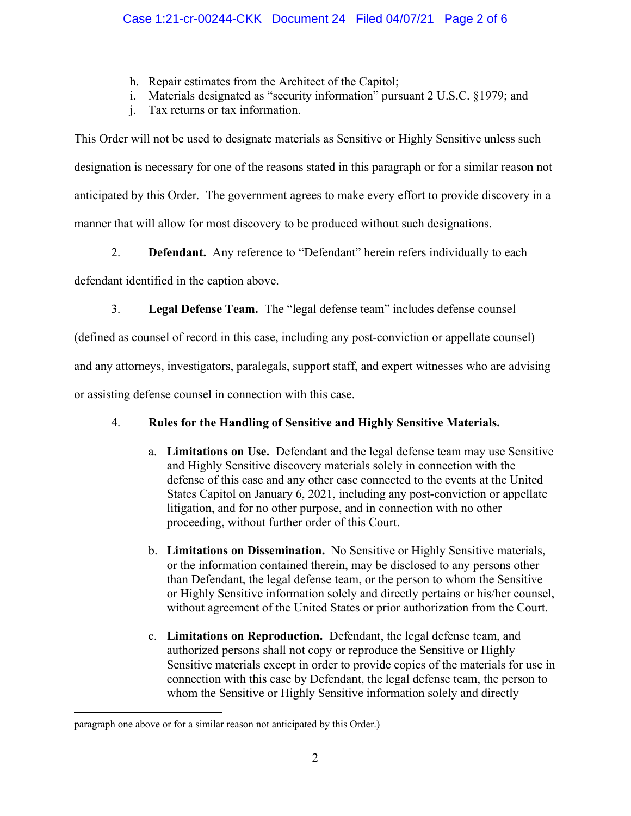- h. Repair estimates from the Architect of the Capitol;
- i. Materials designated as "security information" pursuant 2 U.S.C. §1979; and
- j. Tax returns or tax information.

This Order will not be used to designate materials as Sensitive or Highly Sensitive unless such designation is necessary for one of the reasons stated in this paragraph or for a similar reason not anticipated by this Order. The government agrees to make every effort to provide discovery in a manner that will allow for most discovery to be produced without such designations.

2. **Defendant.** Any reference to "Defendant" herein refers individually to each

defendant identified in the caption above.

3. Legal Defense Team. The "legal defense team" includes defense counsel

(defined as counsel of record in this case, including any post-conviction or appellate counsel)

and any attorneys, investigators, paralegals, support staff, and expert witnesses who are advising

or assisting defense counsel in connection with this case.

# 4. Rules for the Handling of Sensitive and Highly Sensitive Materials.

- a. Limitations on Use. Defendant and the legal defense team may use Sensitive and Highly Sensitive discovery materials solely in connection with the defense of this case and any other case connected to the events at the United States Capitol on January 6, 2021, including any post-conviction or appellate litigation, and for no other purpose, and in connection with no other proceeding, without further order of this Court.
- b. Limitations on Dissemination. No Sensitive or Highly Sensitive materials, or the information contained therein, may be disclosed to any persons other than Defendant, the legal defense team, or the person to whom the Sensitive or Highly Sensitive information solely and directly pertains or his/her counsel, without agreement of the United States or prior authorization from the Court.
- c. Limitations on Reproduction. Defendant, the legal defense team, and authorized persons shall not copy or reproduce the Sensitive or Highly Sensitive materials except in order to provide copies of the materials for use in connection with this case by Defendant, the legal defense team, the person to whom the Sensitive or Highly Sensitive information solely and directly

paragraph one above or for a similar reason not anticipated by this Order.)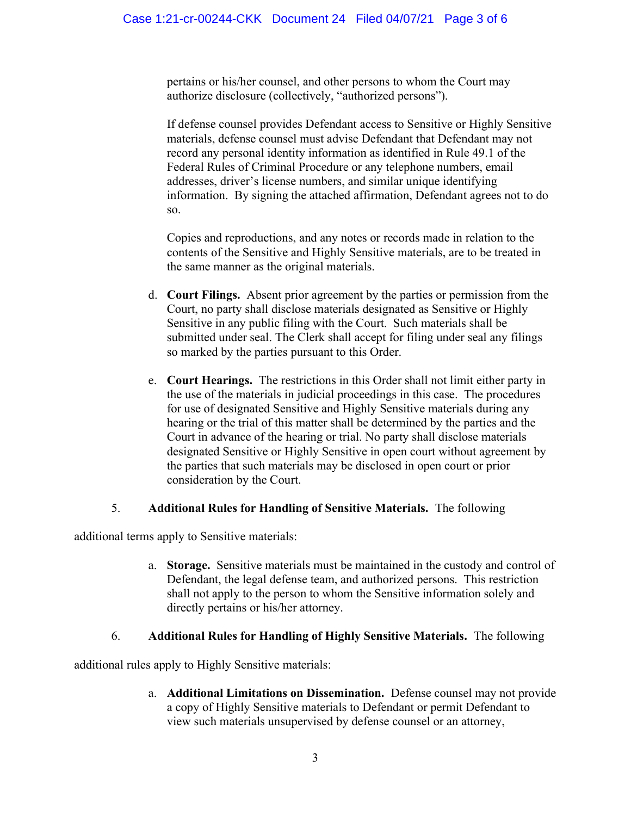pertains or his/her counsel, and other persons to whom the Court may authorize disclosure (collectively, "authorized persons").

If defense counsel provides Defendant access to Sensitive or Highly Sensitive materials, defense counsel must advise Defendant that Defendant may not record any personal identity information as identified in Rule 49.1 of the Federal Rules of Criminal Procedure or any telephone numbers, email addresses, driver's license numbers, and similar unique identifying information. By signing the attached affirmation, Defendant agrees not to do so.

Copies and reproductions, and any notes or records made in relation to the contents of the Sensitive and Highly Sensitive materials, are to be treated in the same manner as the original materials.

- d. Court Filings. Absent prior agreement by the parties or permission from the Court, no party shall disclose materials designated as Sensitive or Highly Sensitive in any public filing with the Court. Such materials shall be submitted under seal. The Clerk shall accept for filing under seal any filings so marked by the parties pursuant to this Order.
- e. Court Hearings. The restrictions in this Order shall not limit either party in the use of the materials in judicial proceedings in this case. The procedures for use of designated Sensitive and Highly Sensitive materials during any hearing or the trial of this matter shall be determined by the parties and the Court in advance of the hearing or trial. No party shall disclose materials designated Sensitive or Highly Sensitive in open court without agreement by the parties that such materials may be disclosed in open court or prior consideration by the Court.

# 5. Additional Rules for Handling of Sensitive Materials. The following

additional terms apply to Sensitive materials:

a. Storage. Sensitive materials must be maintained in the custody and control of Defendant, the legal defense team, and authorized persons. This restriction shall not apply to the person to whom the Sensitive information solely and directly pertains or his/her attorney.

## 6. Additional Rules for Handling of Highly Sensitive Materials. The following

additional rules apply to Highly Sensitive materials:

a. Additional Limitations on Dissemination. Defense counsel may not provide a copy of Highly Sensitive materials to Defendant or permit Defendant to view such materials unsupervised by defense counsel or an attorney,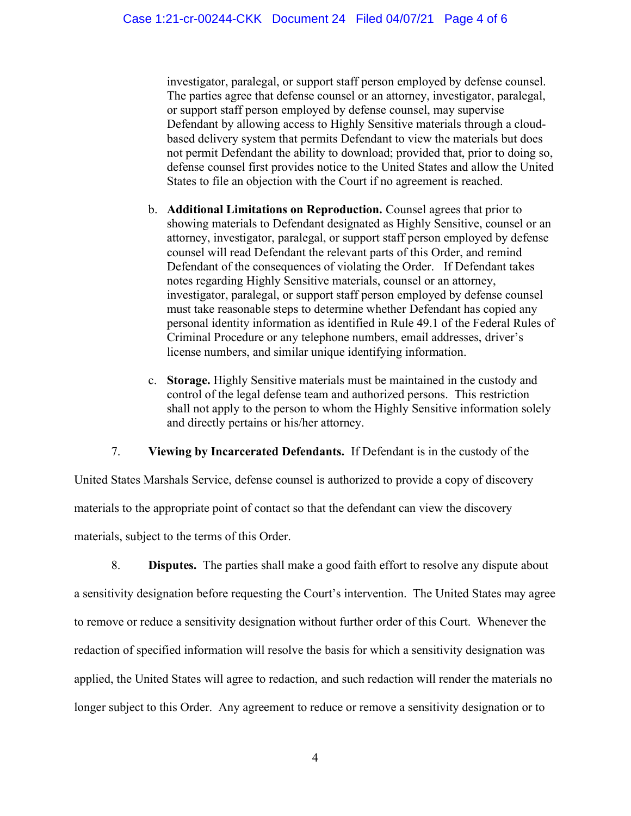investigator, paralegal, or support staff person employed by defense counsel. The parties agree that defense counsel or an attorney, investigator, paralegal, or support staff person employed by defense counsel, may supervise Defendant by allowing access to Highly Sensitive materials through a cloudbased delivery system that permits Defendant to view the materials but does not permit Defendant the ability to download; provided that, prior to doing so, defense counsel first provides notice to the United States and allow the United States to file an objection with the Court if no agreement is reached.

- b. Additional Limitations on Reproduction. Counsel agrees that prior to showing materials to Defendant designated as Highly Sensitive, counsel or an attorney, investigator, paralegal, or support staff person employed by defense counsel will read Defendant the relevant parts of this Order, and remind Defendant of the consequences of violating the Order. If Defendant takes notes regarding Highly Sensitive materials, counsel or an attorney, investigator, paralegal, or support staff person employed by defense counsel must take reasonable steps to determine whether Defendant has copied any personal identity information as identified in Rule 49.1 of the Federal Rules of Criminal Procedure or any telephone numbers, email addresses, driver's license numbers, and similar unique identifying information.
- c. Storage. Highly Sensitive materials must be maintained in the custody and control of the legal defense team and authorized persons. This restriction shall not apply to the person to whom the Highly Sensitive information solely and directly pertains or his/her attorney.

7. Viewing by Incarcerated Defendants. If Defendant is in the custody of the

United States Marshals Service, defense counsel is authorized to provide a copy of discovery materials to the appropriate point of contact so that the defendant can view the discovery materials, subject to the terms of this Order.

8. Disputes. The parties shall make a good faith effort to resolve any dispute about a sensitivity designation before requesting the Court's intervention. The United States may agree to remove or reduce a sensitivity designation without further order of this Court. Whenever the redaction of specified information will resolve the basis for which a sensitivity designation was applied, the United States will agree to redaction, and such redaction will render the materials no longer subject to this Order. Any agreement to reduce or remove a sensitivity designation or to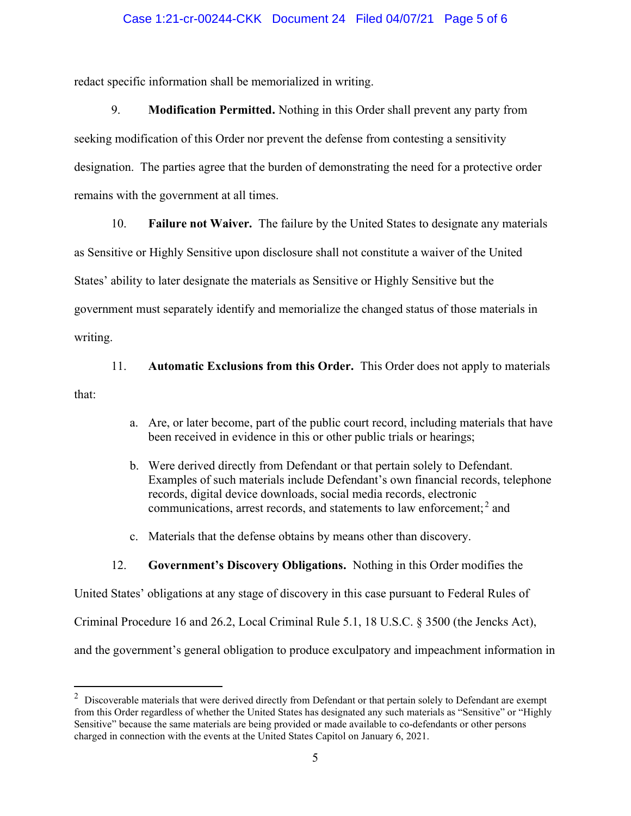### Case 1:21-cr-00244-CKK Document 24 Filed 04/07/21 Page 5 of 6

redact specific information shall be memorialized in writing.

9. Modification Permitted. Nothing in this Order shall prevent any party from seeking modification of this Order nor prevent the defense from contesting a sensitivity designation. The parties agree that the burden of demonstrating the need for a protective order remains with the government at all times.

10. Failure not Waiver. The failure by the United States to designate any materials

as Sensitive or Highly Sensitive upon disclosure shall not constitute a waiver of the United States' ability to later designate the materials as Sensitive or Highly Sensitive but the government must separately identify and memorialize the changed status of those materials in

writing.

11. Automatic Exclusions from this Order. This Order does not apply to materials

that:

- a. Are, or later become, part of the public court record, including materials that have been received in evidence in this or other public trials or hearings;
- b. Were derived directly from Defendant or that pertain solely to Defendant. Examples of such materials include Defendant's own financial records, telephone records, digital device downloads, social media records, electronic communications, arrest records, and statements to law enforcement; $<sup>2</sup>$  and</sup>
- c. Materials that the defense obtains by means other than discovery.

### 12. Government's Discovery Obligations. Nothing in this Order modifies the

United States' obligations at any stage of discovery in this case pursuant to Federal Rules of Criminal Procedure 16 and 26.2, Local Criminal Rule 5.1, 18 U.S.C. § 3500 (the Jencks Act), and the government's general obligation to produce exculpatory and impeachment information in

 $2$  Discoverable materials that were derived directly from Defendant or that pertain solely to Defendant are exempt from this Order regardless of whether the United States has designated any such materials as "Sensitive" or "Highly Sensitive" because the same materials are being provided or made available to co-defendants or other persons charged in connection with the events at the United States Capitol on January 6, 2021.